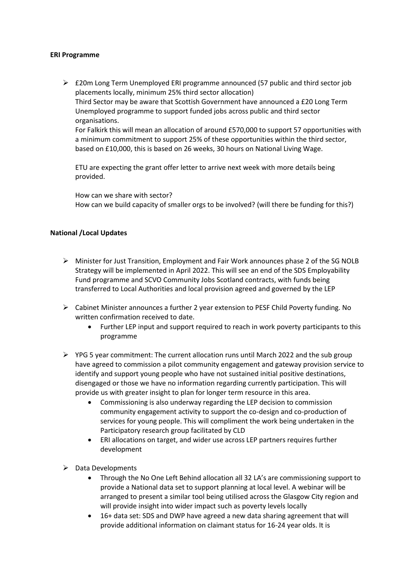## **ERI Programme**

➢ £20m Long Term Unemployed ERI programme announced (57 public and third sector job placements locally, minimum 25% third sector allocation) Third Sector may be aware that Scottish Government have announced a £20 Long Term Unemployed programme to support funded jobs across public and third sector organisations. For Falkirk this will mean an allocation of around £570,000 to support 57 opportunities with a minimum commitment to support 25% of these opportunities within the third sector,

based on £10,000, this is based on 26 weeks, 30 hours on National Living Wage.

ETU are expecting the grant offer letter to arrive next week with more details being provided.

How can we share with sector? How can we build capacity of smaller orgs to be involved? (will there be funding for this?)

## **National /Local Updates**

- ➢ Minister for Just Transition, Employment and Fair Work announces phase 2 of the SG NOLB Strategy will be implemented in April 2022. This will see an end of the SDS Employability Fund programme and SCVO Community Jobs Scotland contracts, with funds being transferred to Local Authorities and local provision agreed and governed by the LEP
- ➢ Cabinet Minister announces a further 2 year extension to PESF Child Poverty funding. No written confirmation received to date.
	- Further LEP input and support required to reach in work poverty participants to this programme
- $\triangleright$  YPG 5 year commitment: The current allocation runs until March 2022 and the sub group have agreed to commission a pilot community engagement and gateway provision service to identify and support young people who have not sustained initial positive destinations, disengaged or those we have no information regarding currently participation. This will provide us with greater insight to plan for longer term resource in this area.
	- Commissioning is also underway regarding the LEP decision to commission community engagement activity to support the co-design and co-production of services for young people. This will compliment the work being undertaken in the Participatory research group facilitated by CLD
	- ERI allocations on target, and wider use across LEP partners requires further development
- ➢ Data Developments
	- Through the No One Left Behind allocation all 32 LA's are commissioning support to provide a National data set to support planning at local level. A webinar will be arranged to present a similar tool being utilised across the Glasgow City region and will provide insight into wider impact such as poverty levels locally
	- 16+ data set: SDS and DWP have agreed a new data sharing agreement that will provide additional information on claimant status for 16-24 year olds. It is